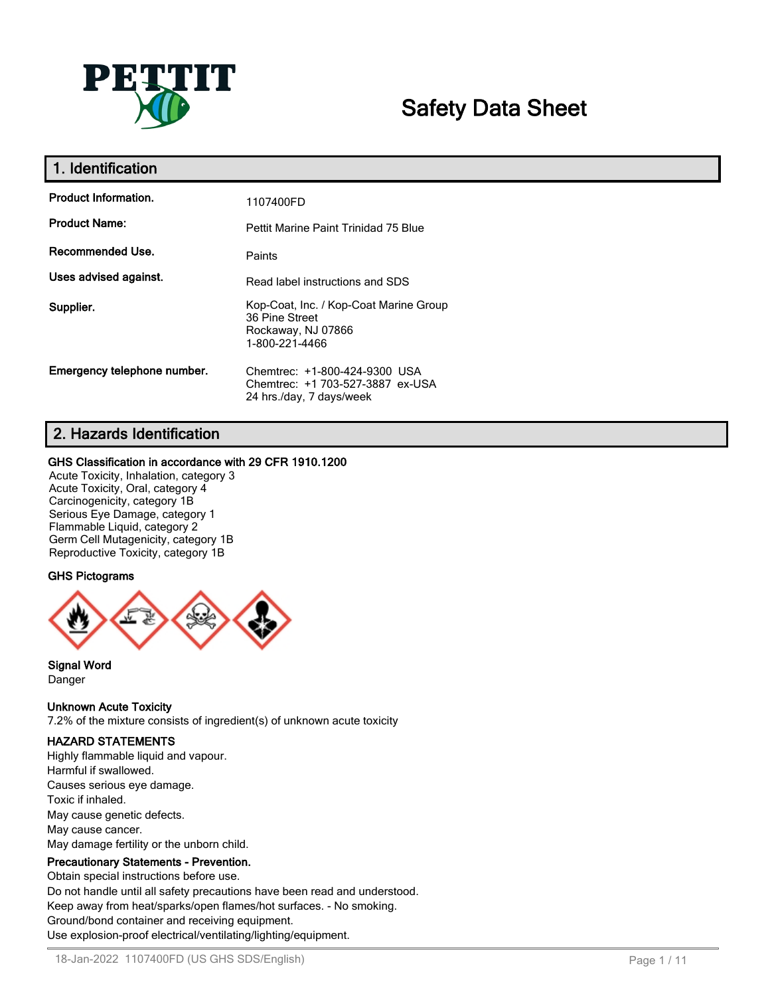

# **Safety Data Sheet**

| 1. Identification           |                                                                                                  |
|-----------------------------|--------------------------------------------------------------------------------------------------|
| <b>Product Information.</b> | 1107400FD                                                                                        |
| <b>Product Name:</b>        | Pettit Marine Paint Trinidad 75 Blue                                                             |
| Recommended Use.            | Paints                                                                                           |
| Uses advised against.       | Read label instructions and SDS                                                                  |
| Supplier.                   | Kop-Coat, Inc. / Kop-Coat Marine Group<br>36 Pine Street<br>Rockaway, NJ 07866<br>1-800-221-4466 |
| Emergency telephone number. | Chemtrec: +1-800-424-9300 USA<br>Chemtrec: +1 703-527-3887 ex-USA<br>24 hrs./day, 7 days/week    |

# **2. Hazards Identification**

#### **GHS Classification in accordance with 29 CFR 1910.1200**

Acute Toxicity, Inhalation, category 3 Acute Toxicity, Oral, category 4 Carcinogenicity, category 1B Serious Eye Damage, category 1 Flammable Liquid, category 2 Germ Cell Mutagenicity, category 1B Reproductive Toxicity, category 1B

#### **GHS Pictograms**



#### **Signal Word** Danger

**Unknown Acute Toxicity**

7.2% of the mixture consists of ingredient(s) of unknown acute toxicity

# **HAZARD STATEMENTS**

Highly flammable liquid and vapour. Harmful if swallowed. Causes serious eye damage. Toxic if inhaled. May cause genetic defects. May cause cancer. May damage fertility or the unborn child.

# **Precautionary Statements - Prevention.**

Obtain special instructions before use. Do not handle until all safety precautions have been read and understood. Keep away from heat/sparks/open flames/hot surfaces. - No smoking. Ground/bond container and receiving equipment. Use explosion-proof electrical/ventilating/lighting/equipment.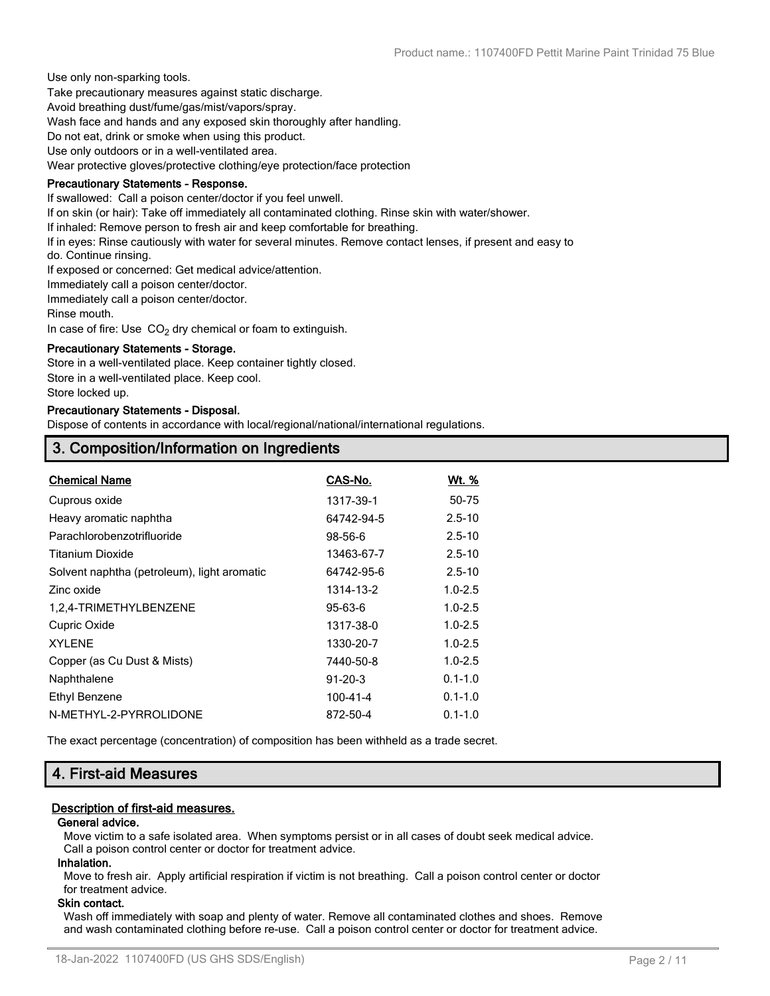Use only non-sparking tools.

Take precautionary measures against static discharge.

Avoid breathing dust/fume/gas/mist/vapors/spray.

Wash face and hands and any exposed skin thoroughly after handling.

Do not eat, drink or smoke when using this product.

Use only outdoors or in a well-ventilated area.

Wear protective gloves/protective clothing/eye protection/face protection

#### **Precautionary Statements - Response.**

If swallowed: Call a poison center/doctor if you feel unwell.

If on skin (or hair): Take off immediately all contaminated clothing. Rinse skin with water/shower.

If inhaled: Remove person to fresh air and keep comfortable for breathing.

If in eyes: Rinse cautiously with water for several minutes. Remove contact lenses, if present and easy to

do. Continue rinsing.

If exposed or concerned: Get medical advice/attention.

Immediately call a poison center/doctor.

Immediately call a poison center/doctor.

Rinse mouth.

In case of fire: Use  $CO<sub>2</sub>$  dry chemical or foam to extinguish.

#### **Precautionary Statements - Storage.**

Store in a well-ventilated place. Keep container tightly closed. Store in a well-ventilated place. Keep cool.

Store locked up.

#### **Precautionary Statements - Disposal.**

Dispose of contents in accordance with local/regional/national/international regulations.

# **3. Composition/Information on Ingredients**

| <b>Chemical Name</b>                        | CAS-No.        | <u>Wt. %</u> |
|---------------------------------------------|----------------|--------------|
| Cuprous oxide                               | 1317-39-1      | 50-75        |
| Heavy aromatic naphtha                      | 64742-94-5     | $2.5 - 10$   |
| Parachlorobenzotrifluoride                  | 98-56-6        | $2.5 - 10$   |
| <b>Titanium Dioxide</b>                     | 13463-67-7     | $2.5 - 10$   |
| Solvent naphtha (petroleum), light aromatic | 64742-95-6     | $2.5 - 10$   |
| Zinc oxide                                  | 1314-13-2      | $1.0 - 2.5$  |
| 1,2,4-TRIMETHYLBENZENE                      | $95 - 63 - 6$  | $1.0 - 2.5$  |
| Cupric Oxide                                | 1317-38-0      | $1.0 - 2.5$  |
| <b>XYLENE</b>                               | 1330-20-7      | $1.0 - 2.5$  |
| Copper (as Cu Dust & Mists)                 | 7440-50-8      | $1.0 - 2.5$  |
| Naphthalene                                 | $91 - 20 - 3$  | $0.1 - 1.0$  |
| Ethyl Benzene                               | $100 - 41 - 4$ | $0.1 - 1.0$  |
| N-METHYL-2-PYRROLIDONE                      | 872-50-4       | $0.1 - 1.0$  |
|                                             |                |              |

The exact percentage (concentration) of composition has been withheld as a trade secret.

# **4. First-aid Measures**

#### **Description of first-aid measures.**

#### **General advice.**

Move victim to a safe isolated area. When symptoms persist or in all cases of doubt seek medical advice. Call a poison control center or doctor for treatment advice.

#### **Inhalation.**

Move to fresh air. Apply artificial respiration if victim is not breathing. Call a poison control center or doctor for treatment advice.

#### **Skin contact.**

Wash off immediately with soap and plenty of water. Remove all contaminated clothes and shoes. Remove and wash contaminated clothing before re-use. Call a poison control center or doctor for treatment advice.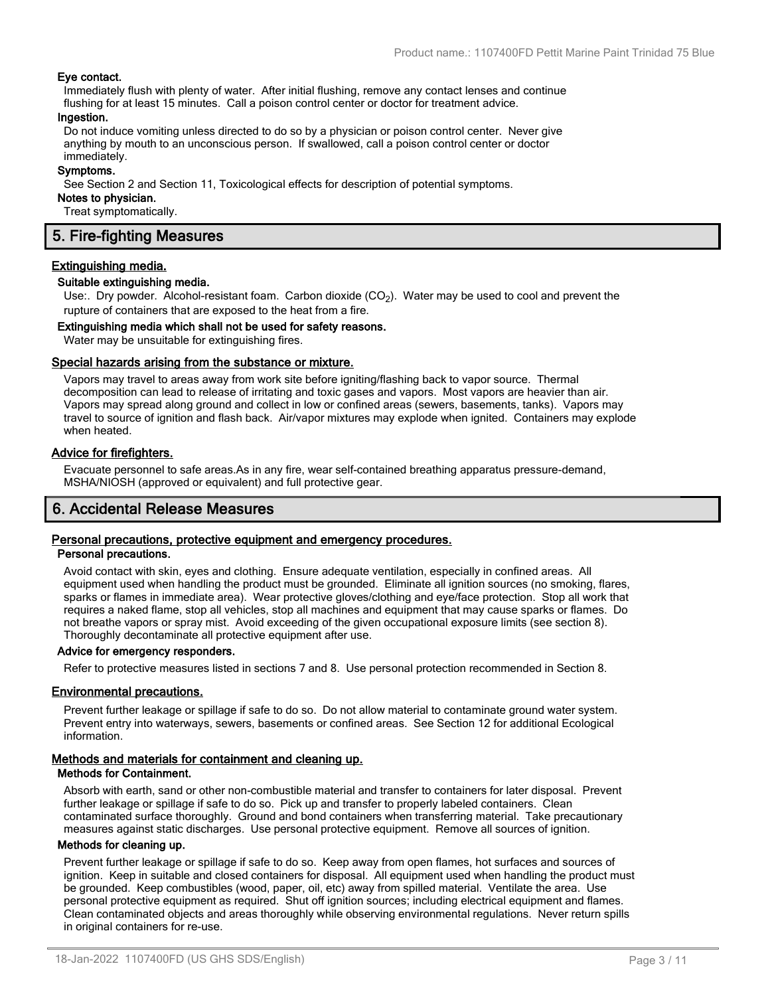#### **Eye contact.**

Immediately flush with plenty of water. After initial flushing, remove any contact lenses and continue flushing for at least 15 minutes. Call a poison control center or doctor for treatment advice.

#### **Ingestion.**

Do not induce vomiting unless directed to do so by a physician or poison control center. Never give anything by mouth to an unconscious person. If swallowed, call a poison control center or doctor immediately.

#### **Symptoms.**

See Section 2 and Section 11, Toxicological effects for description of potential symptoms.

#### **Notes to physician.**

Treat symptomatically.

# **5. Fire-fighting Measures**

#### **Extinguishing media.**

#### **Suitable extinguishing media.**

Use:. Dry powder. Alcohol-resistant foam. Carbon dioxide  $(CO<sub>2</sub>)$ . Water may be used to cool and prevent the rupture of containers that are exposed to the heat from a fire.

#### **Extinguishing media which shall not be used for safety reasons.**

Water may be unsuitable for extinguishing fires.

#### **Special hazards arising from the substance or mixture.**

Vapors may travel to areas away from work site before igniting/flashing back to vapor source. Thermal decomposition can lead to release of irritating and toxic gases and vapors. Most vapors are heavier than air. Vapors may spread along ground and collect in low or confined areas (sewers, basements, tanks). Vapors may travel to source of ignition and flash back. Air/vapor mixtures may explode when ignited. Containers may explode when heated.

#### **Advice for firefighters.**

Evacuate personnel to safe areas.As in any fire, wear self-contained breathing apparatus pressure-demand, MSHA/NIOSH (approved or equivalent) and full protective gear.

# **6. Accidental Release Measures**

## **Personal precautions, protective equipment and emergency procedures.**

#### **Personal precautions.**

Avoid contact with skin, eyes and clothing. Ensure adequate ventilation, especially in confined areas. All equipment used when handling the product must be grounded. Eliminate all ignition sources (no smoking, flares, sparks or flames in immediate area). Wear protective gloves/clothing and eye/face protection. Stop all work that requires a naked flame, stop all vehicles, stop all machines and equipment that may cause sparks or flames. Do not breathe vapors or spray mist. Avoid exceeding of the given occupational exposure limits (see section 8). Thoroughly decontaminate all protective equipment after use.

#### **Advice for emergency responders.**

Refer to protective measures listed in sections 7 and 8. Use personal protection recommended in Section 8.

#### **Environmental precautions.**

Prevent further leakage or spillage if safe to do so. Do not allow material to contaminate ground water system. Prevent entry into waterways, sewers, basements or confined areas. See Section 12 for additional Ecological information.

#### **Methods and materials for containment and cleaning up.**

#### **Methods for Containment.**

Absorb with earth, sand or other non-combustible material and transfer to containers for later disposal. Prevent further leakage or spillage if safe to do so. Pick up and transfer to properly labeled containers. Clean contaminated surface thoroughly. Ground and bond containers when transferring material. Take precautionary measures against static discharges. Use personal protective equipment. Remove all sources of ignition.

#### **Methods for cleaning up.**

Prevent further leakage or spillage if safe to do so. Keep away from open flames, hot surfaces and sources of ignition. Keep in suitable and closed containers for disposal. All equipment used when handling the product must be grounded. Keep combustibles (wood, paper, oil, etc) away from spilled material. Ventilate the area. Use personal protective equipment as required. Shut off ignition sources; including electrical equipment and flames. Clean contaminated objects and areas thoroughly while observing environmental regulations. Never return spills in original containers for re-use.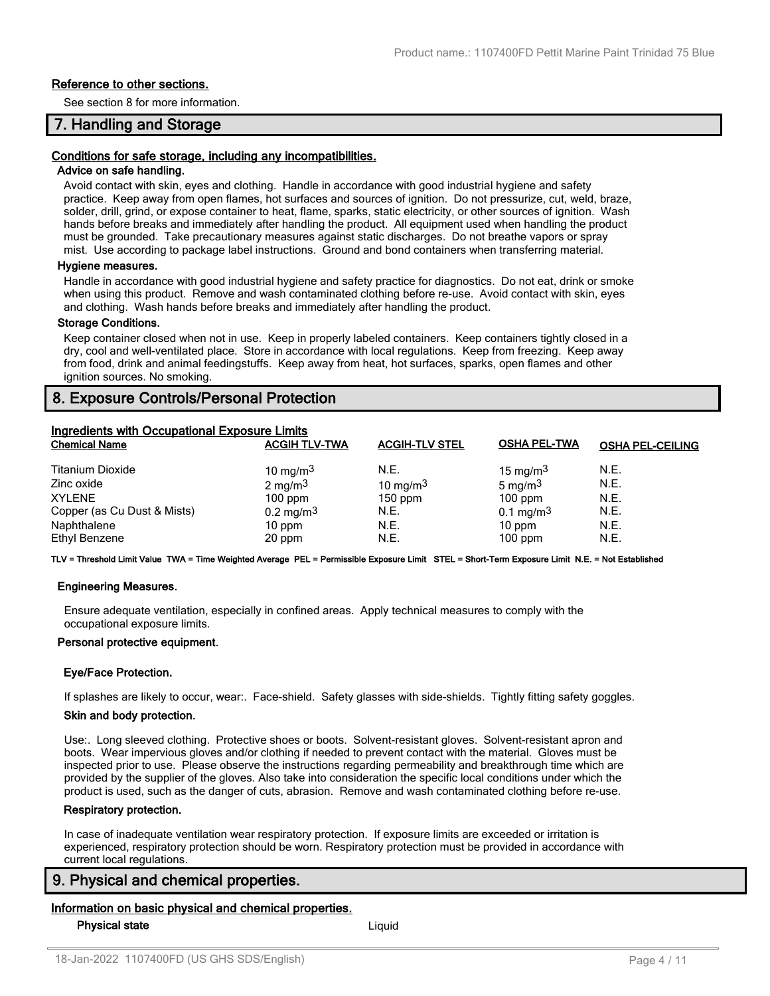#### **Reference to other sections.**

See section 8 for more information.

# **7. Handling and Storage**

#### **Conditions for safe storage, including any incompatibilities.**

#### **Advice on safe handling.**

Avoid contact with skin, eyes and clothing. Handle in accordance with good industrial hygiene and safety practice. Keep away from open flames, hot surfaces and sources of ignition. Do not pressurize, cut, weld, braze, solder, drill, grind, or expose container to heat, flame, sparks, static electricity, or other sources of ignition. Wash hands before breaks and immediately after handling the product. All equipment used when handling the product must be grounded. Take precautionary measures against static discharges. Do not breathe vapors or spray mist. Use according to package label instructions. Ground and bond containers when transferring material.

#### **Hygiene measures.**

Handle in accordance with good industrial hygiene and safety practice for diagnostics. Do not eat, drink or smoke when using this product. Remove and wash contaminated clothing before re-use. Avoid contact with skin, eyes and clothing. Wash hands before breaks and immediately after handling the product.

#### **Storage Conditions.**

Keep container closed when not in use. Keep in properly labeled containers. Keep containers tightly closed in a dry, cool and well-ventilated place. Store in accordance with local regulations. Keep from freezing. Keep away from food, drink and animal feedingstuffs. Keep away from heat, hot surfaces, sparks, open flames and other ignition sources. No smoking.

# **8. Exposure Controls/Personal Protection**

| <b>Ingredients with Occupational Exposure Limits</b> |                      |                       |                      |                         |  |
|------------------------------------------------------|----------------------|-----------------------|----------------------|-------------------------|--|
| <b>Chemical Name</b>                                 | <b>ACGIH TLV-TWA</b> | <b>ACGIH-TLV STEL</b> | <b>OSHA PEL-TWA</b>  | <b>OSHA PEL-CEILING</b> |  |
| <b>Titanium Dioxide</b>                              | 10 mg/m $3$          | N.E.                  | 15 mg/m $3$          | N.E.                    |  |
| Zinc oxide                                           | 2 mg/m $3$           | 10 mg/m $3$           | 5 mg/m $3$           | N.E.                    |  |
| <b>XYLENE</b>                                        | $100$ ppm            | $150$ ppm             | $100$ ppm            | N.E.                    |  |
| Copper (as Cu Dust & Mists)                          | $0.2 \text{ mg/m}^3$ | N.E.                  | $0.1 \text{ mg/m}^3$ | N.E.                    |  |
| Naphthalene                                          | $10$ ppm             | N.E.                  | $10$ ppm             | N.E.                    |  |
| Ethyl Benzene                                        | 20 ppm               | N.E.                  | $100$ ppm            | N.E.                    |  |

**TLV = Threshold Limit Value TWA = Time Weighted Average PEL = Permissible Exposure Limit STEL = Short-Term Exposure Limit N.E. = Not Established**

#### **Engineering Measures.**

Ensure adequate ventilation, especially in confined areas. Apply technical measures to comply with the occupational exposure limits.

#### **Personal protective equipment.**

#### **Eye/Face Protection.**

If splashes are likely to occur, wear:. Face-shield. Safety glasses with side-shields. Tightly fitting safety goggles.

#### **Skin and body protection.**

Use:. Long sleeved clothing. Protective shoes or boots. Solvent-resistant gloves. Solvent-resistant apron and boots. Wear impervious gloves and/or clothing if needed to prevent contact with the material. Gloves must be inspected prior to use. Please observe the instructions regarding permeability and breakthrough time which are provided by the supplier of the gloves. Also take into consideration the specific local conditions under which the product is used, such as the danger of cuts, abrasion. Remove and wash contaminated clothing before re-use.

#### **Respiratory protection.**

In case of inadequate ventilation wear respiratory protection. If exposure limits are exceeded or irritation is experienced, respiratory protection should be worn. Respiratory protection must be provided in accordance with current local regulations.

#### **9. Physical and chemical properties.**

#### **Information on basic physical and chemical properties.**

**Physical state** Liquid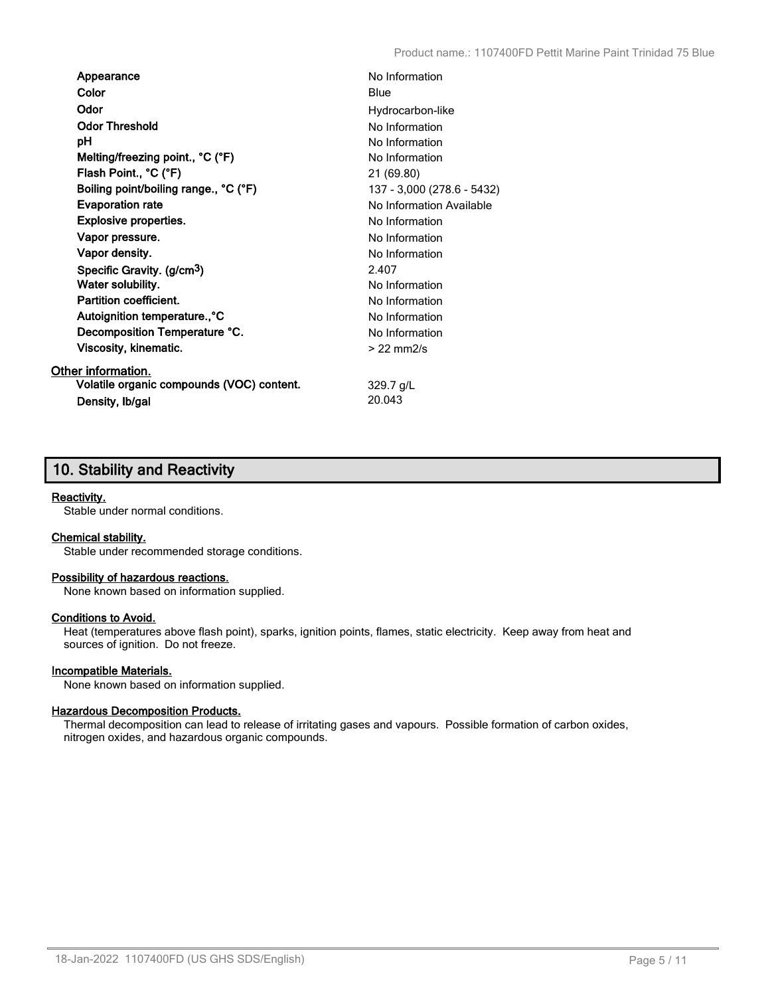| Appearance                                | No Information             |
|-------------------------------------------|----------------------------|
| Color                                     | Blue                       |
| Odor                                      | Hydrocarbon-like           |
| <b>Odor Threshold</b>                     | No Information             |
| рH                                        | No Information             |
| Melting/freezing point., °C (°F)          | No Information             |
| Flash Point., °C (°F)                     | 21 (69.80)                 |
| Boiling point/boiling range., °C (°F)     | 137 - 3,000 (278.6 - 5432) |
| <b>Evaporation rate</b>                   | No Information Available   |
| <b>Explosive properties.</b>              | No Information             |
| Vapor pressure.                           | No Information             |
| Vapor density.                            | No Information             |
| Specific Gravity. (g/cm <sup>3</sup> )    | 2.407                      |
| Water solubility.                         | No Information             |
| <b>Partition coefficient.</b>             | No Information             |
| Autoignition temperature., °C             | No Information             |
| Decomposition Temperature °C.             | No Information             |
| Viscosity, kinematic.                     | $>22$ mm $2/s$             |
| Other information.                        |                            |
| Volatile organic compounds (VOC) content. | $329.7$ g/L                |
| Density, Ib/gal                           | 20.043                     |

# **10. Stability and Reactivity**

#### **Reactivity.**

Stable under normal conditions.

#### **Chemical stability.**

Stable under recommended storage conditions.

#### **Possibility of hazardous reactions.**

None known based on information supplied.

#### **Conditions to Avoid.**

Heat (temperatures above flash point), sparks, ignition points, flames, static electricity. Keep away from heat and sources of ignition. Do not freeze.

#### **Incompatible Materials.**

None known based on information supplied.

#### **Hazardous Decomposition Products.**

Thermal decomposition can lead to release of irritating gases and vapours. Possible formation of carbon oxides, nitrogen oxides, and hazardous organic compounds.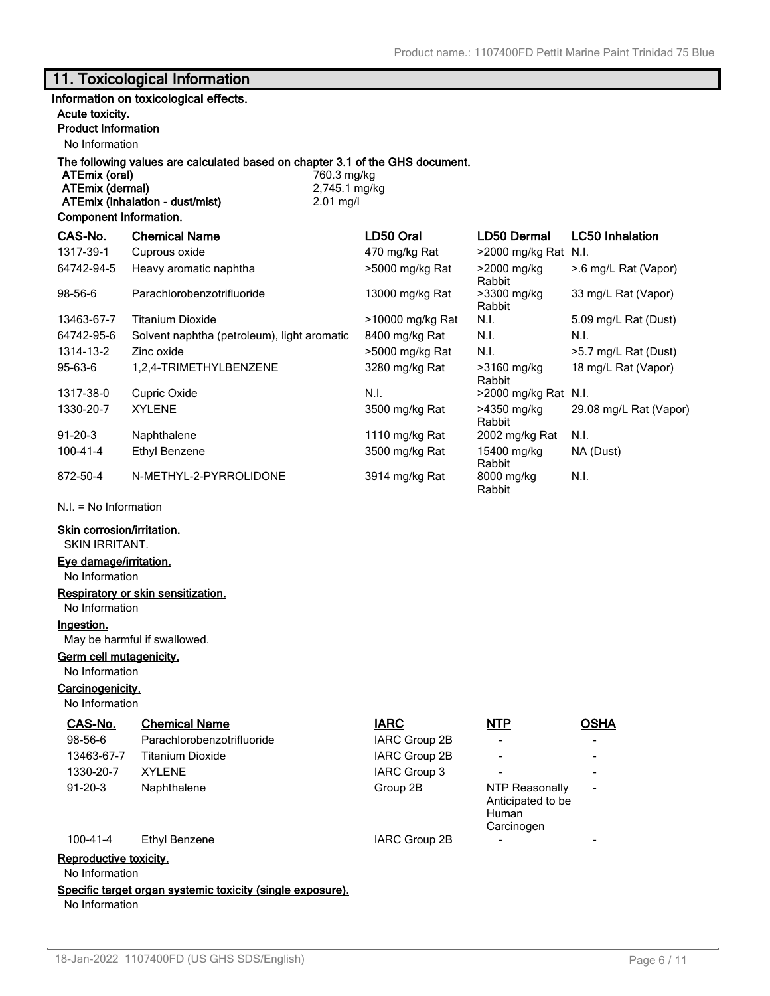# **11. Toxicological Information**

## **Information on toxicological effects.**

#### **Acute toxicity.**

## **Product Information**

No Information

# **The following values are calculated based on chapter 3.1 of the GHS document.**

**ATEmix (oral)** 760.3 mg/kg<br> **ATEmix (dermal)** 2,745.1 mg/kg **ATEmix (dermal)** 2,745.1 m<br>**ATEmix (inhalation - dust/mist)** 2.01 mg/l **ATEmix (inhalation - dust/mist)** 

#### **Component Information.**

| CAS-No.        | <b>Chemical Name</b>                        | LD50 Oral        | LD50 Dermal           | <b>LC50 Inhalation</b> |
|----------------|---------------------------------------------|------------------|-----------------------|------------------------|
| 1317-39-1      | Cuprous oxide                               | 470 mg/kg Rat    | $>$ 2000 mg/kg Rat    | N.I.                   |
| 64742-94-5     | Heavy aromatic naphtha                      | >5000 mg/kg Rat  | >2000 mg/kg<br>Rabbit | >.6 mg/L Rat (Vapor)   |
| 98-56-6        | Parachlorobenzotrifluoride                  | 13000 mg/kg Rat  | >3300 mg/kg<br>Rabbit | 33 mg/L Rat (Vapor)    |
| 13463-67-7     | Titanium Dioxide                            | >10000 mg/kg Rat | N.I.                  | 5.09 mg/L Rat (Dust)   |
| 64742-95-6     | Solvent naphtha (petroleum), light aromatic | 8400 mg/kg Rat   | N.I.                  | N.I.                   |
| 1314-13-2      | Zinc oxide                                  | >5000 mg/kg Rat  | N.I.                  | >5.7 mg/L Rat (Dust)   |
| 95-63-6        | 1,2,4-TRIMETHYLBENZENE                      | 3280 mg/kg Rat   | >3160 mg/kg<br>Rabbit | 18 mg/L Rat (Vapor)    |
| 1317-38-0      | Cupric Oxide                                | N.I.             | >2000 mg/kg Rat N.I.  |                        |
| 1330-20-7      | <b>XYLENE</b>                               | 3500 mg/kg Rat   | >4350 mg/kg<br>Rabbit | 29.08 mg/L Rat (Vapor) |
| $91 - 20 - 3$  | Naphthalene                                 | 1110 mg/kg Rat   | 2002 mg/kg Rat        | N.I.                   |
| $100 - 41 - 4$ | Ethyl Benzene                               | 3500 mg/kg Rat   | 15400 mg/kg<br>Rabbit | NA (Dust)              |
| 872-50-4       | N-METHYL-2-PYRROLIDONE                      | 3914 mg/kg Rat   | 8000 mg/kg<br>Rabbit  | N.I.                   |

N.I. = No Information

#### **Skin corrosion/irritation.**

SKIN IRRITANT.

### **Eye damage/irritation.**

No Information

# **Respiratory or skin sensitization.**

No Information

### **Ingestion.**

May be harmful if swallowed.

## **Germ cell mutagenicity.**

No Information

# **Carcinogenicity.**

No Information

| CAS-No.              | <b>Chemical Name</b>       | <b>IARC</b>   | NTP                                                               | <b>OSHA</b> |
|----------------------|----------------------------|---------------|-------------------------------------------------------------------|-------------|
| 98-56-6              | Parachlorobenzotrifluoride | IARC Group 2B |                                                                   |             |
| 13463-67-7           | <b>Titanium Dioxide</b>    | IARC Group 2B | -                                                                 |             |
| 1330-20-7            | <b>XYLENE</b>              | IARC Group 3  |                                                                   |             |
| 91-20-3              | Naphthalene                | Group 2B      | <b>NTP Reasonally</b><br>Anticipated to be<br>Human<br>Carcinogen |             |
| $100 - 41 - 4$       | Ethyl Benzene              | IARC Group 2B |                                                                   |             |
| oproduotivo tovioity |                            |               |                                                                   |             |

**Reproductive toxicity.**

No Information

## **Specific target organ systemic toxicity (single exposure).**

No Information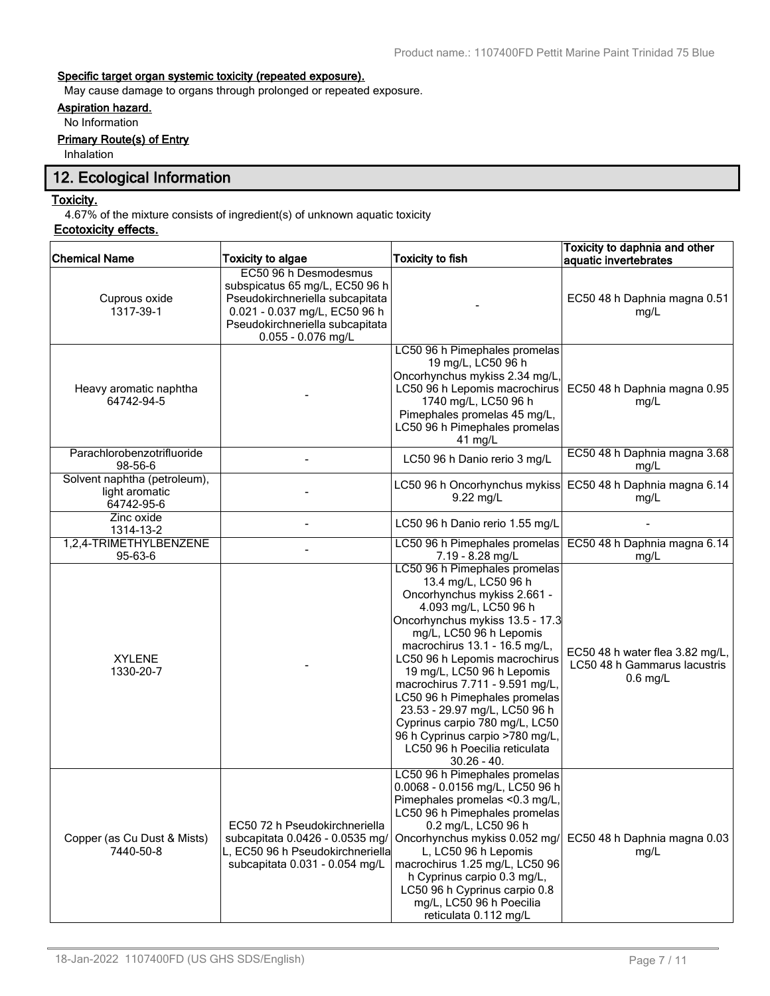## **Specific target organ systemic toxicity (repeated exposure).**

May cause damage to organs through prolonged or repeated exposure.

# **Aspiration hazard.**

No Information

## **Primary Route(s) of Entry**

Inhalation

# **12. Ecological Information**

#### **Toxicity.**

4.67% of the mixture consists of ingredient(s) of unknown aquatic toxicity

# **Ecotoxicity effects.**

| <b>Chemical Name</b>                                         | <b>Toxicity to algae</b>                                                                                                                                      | <b>Toxicity to fish</b>                                                                                                                                                                                                                                                                                                                                                                                                                                                                                 | Toxicity to daphnia and other                                                 |
|--------------------------------------------------------------|---------------------------------------------------------------------------------------------------------------------------------------------------------------|---------------------------------------------------------------------------------------------------------------------------------------------------------------------------------------------------------------------------------------------------------------------------------------------------------------------------------------------------------------------------------------------------------------------------------------------------------------------------------------------------------|-------------------------------------------------------------------------------|
|                                                              | EC50 96 h Desmodesmus                                                                                                                                         |                                                                                                                                                                                                                                                                                                                                                                                                                                                                                                         | aquatic invertebrates                                                         |
| Cuprous oxide<br>1317-39-1                                   | subspicatus 65 mg/L, EC50 96 h<br>Pseudokirchneriella subcapitata<br>0.021 - 0.037 mg/L, EC50 96 h<br>Pseudokirchneriella subcapitata<br>$0.055 - 0.076$ mg/L |                                                                                                                                                                                                                                                                                                                                                                                                                                                                                                         | EC50 48 h Daphnia magna 0.51<br>mg/L                                          |
| Heavy aromatic naphtha<br>64742-94-5                         |                                                                                                                                                               | LC50 96 h Pimephales promelas<br>19 mg/L, LC50 96 h<br>Oncorhynchus mykiss 2.34 mg/L,<br>LC50 96 h Lepomis macrochirus<br>1740 mg/L, LC50 96 h<br>Pimephales promelas 45 mg/L,<br>LC50 96 h Pimephales promelas<br>41 mg/L                                                                                                                                                                                                                                                                              | EC50 48 h Daphnia magna 0.95<br>mg/L                                          |
| Parachlorobenzotrifluoride<br>98-56-6                        |                                                                                                                                                               | LC50 96 h Danio rerio 3 mg/L                                                                                                                                                                                                                                                                                                                                                                                                                                                                            | EC50 48 h Daphnia magna 3.68<br>mg/L                                          |
| Solvent naphtha (petroleum),<br>light aromatic<br>64742-95-6 |                                                                                                                                                               | LC50 96 h Oncorhynchus mykiss<br>$9.22$ mg/L                                                                                                                                                                                                                                                                                                                                                                                                                                                            | EC50 48 h Daphnia magna 6.14<br>mg/L                                          |
| Zinc oxide<br>1314-13-2                                      |                                                                                                                                                               | LC50 96 h Danio rerio 1.55 mg/L                                                                                                                                                                                                                                                                                                                                                                                                                                                                         |                                                                               |
| 1,2,4-TRIMETHYLBENZENE<br>95-63-6                            |                                                                                                                                                               | LC50 96 h Pimephales promelas<br>7.19 - 8.28 mg/L                                                                                                                                                                                                                                                                                                                                                                                                                                                       | EC50 48 h Daphnia magna 6.14<br>mg/L                                          |
| <b>XYLENE</b><br>1330-20-7                                   |                                                                                                                                                               | LC50 96 h Pimephales promelas<br>13.4 mg/L, LC50 96 h<br>Oncorhynchus mykiss 2.661 -<br>4.093 mg/L, LC50 96 h<br>Oncorhynchus mykiss 13.5 - 17.3<br>mg/L, LC50 96 h Lepomis<br>macrochirus 13.1 - 16.5 mg/L,<br>LC50 96 h Lepomis macrochirus<br>19 mg/L, LC50 96 h Lepomis<br>macrochirus 7.711 - 9.591 mg/L,<br>LC50 96 h Pimephales promelas<br>23.53 - 29.97 mg/L, LC50 96 h<br>Cyprinus carpio 780 mg/L, LC50<br>96 h Cyprinus carpio >780 mg/L,<br>LC50 96 h Poecilia reticulata<br>$30.26 - 40.$ | EC50 48 h water flea 3.82 mg/L,<br>LC50 48 h Gammarus lacustris<br>$0.6$ mg/L |
| Copper (as Cu Dust & Mists)<br>7440-50-8                     | EC50 72 h Pseudokirchneriella<br>subcapitata 0.0426 - 0.0535 mg/<br>L, EC50 96 h Pseudokirchneriella<br>subcapitata 0.031 - 0.054 mg/L                        | LC50 96 h Pimephales promelas<br>0.0068 - 0.0156 mg/L, LC50 96 h<br>Pimephales promelas <0.3 mg/L,<br>LC50 96 h Pimephales promelas<br>0.2 mg/L, LC50 96 h<br>Oncorhynchus mykiss 0.052 mg/<br>L, LC50 96 h Lepomis<br>macrochirus 1.25 mg/L, LC50 96<br>h Cyprinus carpio 0.3 mg/L,<br>LC50 96 h Cyprinus carpio 0.8<br>mg/L, LC50 96 h Poecilia<br>reticulata 0.112 mg/L                                                                                                                              | EC50 48 h Daphnia magna 0.03<br>mg/L                                          |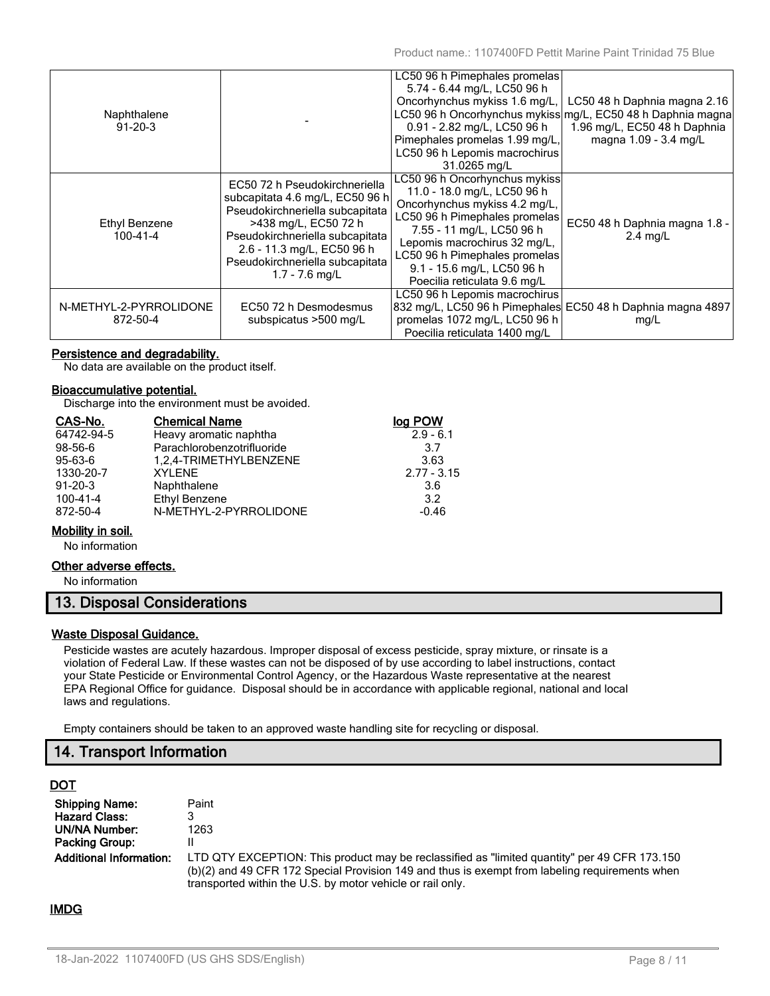| Naphthalene<br>$91 - 20 - 3$       |                                                                                                                                                                                                                                                     | LC50 96 h Pimephales promelas<br>5.74 - 6.44 mg/L, LC50 96 h<br>Oncorhynchus mykiss 1.6 mg/L,<br>0.91 - 2.82 mg/L, LC50 96 h<br>Pimephales promelas 1.99 mg/L,<br>LC50 96 h Lepomis macrochirus<br>31.0265 mg/L                                                                            | LC50 48 h Daphnia magna 2.16<br>LC50 96 h Oncorhynchus mykiss mg/L, EC50 48 h Daphnia magna<br>1.96 mg/L, EC50 48 h Daphnia<br>magna 1.09 - 3.4 mg/L |
|------------------------------------|-----------------------------------------------------------------------------------------------------------------------------------------------------------------------------------------------------------------------------------------------------|--------------------------------------------------------------------------------------------------------------------------------------------------------------------------------------------------------------------------------------------------------------------------------------------|------------------------------------------------------------------------------------------------------------------------------------------------------|
| Ethyl Benzene<br>100-41-4          | EC50 72 h Pseudokirchneriella<br>subcapitata 4.6 mg/L, EC50 96 h<br>Pseudokirchneriella subcapitata<br>>438 mg/L, EC50 72 h<br>Pseudokirchneriella subcapitata<br>2.6 - 11.3 mg/L, EC50 96 h<br>Pseudokirchneriella subcapitata<br>$1.7 - 7.6$ mg/L | LC50 96 h Oncorhynchus mykiss<br>11.0 - 18.0 mg/L, LC50 96 h<br>Oncorhynchus mykiss 4.2 mg/L,<br>LC50 96 h Pimephales promelas<br>7.55 - 11 mg/L, LC50 96 h<br>Lepomis macrochirus 32 mg/L,<br>LC50 96 h Pimephales promelas<br>9.1 - 15.6 mg/L, LC50 96 h<br>Poecilia reticulata 9.6 mg/L | EC50 48 h Daphnia magna 1.8 -<br>$2.4$ mg/L                                                                                                          |
| N-METHYL-2-PYRROLIDONE<br>872-50-4 | EC50 72 h Desmodesmus<br>subspicatus >500 mg/L                                                                                                                                                                                                      | LC50 96 h Lepomis macrochirus<br>832 mg/L, LC50 96 h Pimephales EC50 48 h Daphnia magna 4897<br>promelas 1072 mg/L, LC50 96 h<br>Poecilia reticulata 1400 mg/L                                                                                                                             | mg/L                                                                                                                                                 |

#### **Persistence and degradability.**

No data are available on the product itself.

#### **Bioaccumulative potential.**

Discharge into the environment must be avoided.

| CAS-No.       | <b>Chemical Name</b>       | log POW       |
|---------------|----------------------------|---------------|
| 64742-94-5    | Heavy aromatic naphtha     | $2.9 - 6.1$   |
| 98-56-6       | Parachlorobenzotrifluoride | 3.7           |
| $95 - 63 - 6$ | 1,2,4-TRIMETHYLBENZENE     | 3.63          |
| 1330-20-7     | <b>XYLENE</b>              | $2.77 - 3.15$ |
| $91 - 20 - 3$ | Naphthalene                | 3.6           |
| 100-41-4      | <b>Ethyl Benzene</b>       | 3.2           |
| 872-50-4      | N-METHYL-2-PYRROLIDONE     | $-0.46$       |
|               |                            |               |

#### **Mobility in soil.**

No information

#### **Other adverse effects.**

No information

# **13. Disposal Considerations**

#### **Waste Disposal Guidance.**

Pesticide wastes are acutely hazardous. Improper disposal of excess pesticide, spray mixture, or rinsate is a violation of Federal Law. If these wastes can not be disposed of by use according to label instructions, contact your State Pesticide or Environmental Control Agency, or the Hazardous Waste representative at the nearest EPA Regional Office for guidance. Disposal should be in accordance with applicable regional, national and local laws and regulations.

Empty containers should be taken to an approved waste handling site for recycling or disposal.

# **14. Transport Information**

## **DOT**

| <b>Shipping Name:</b>          | Paint                                                                                                                                                                                                                                                        |
|--------------------------------|--------------------------------------------------------------------------------------------------------------------------------------------------------------------------------------------------------------------------------------------------------------|
| <b>Hazard Class:</b>           |                                                                                                                                                                                                                                                              |
| <b>UN/NA Number:</b>           | 1263                                                                                                                                                                                                                                                         |
| Packing Group:                 |                                                                                                                                                                                                                                                              |
| <b>Additional Information:</b> | LTD QTY EXCEPTION: This product may be reclassified as "limited quantity" per 49 CFR 173.150<br>(b)(2) and 49 CFR 172 Special Provision 149 and thus is exempt from labeling requirements when<br>transported within the U.S. by motor vehicle or rail only. |

## **IMDG**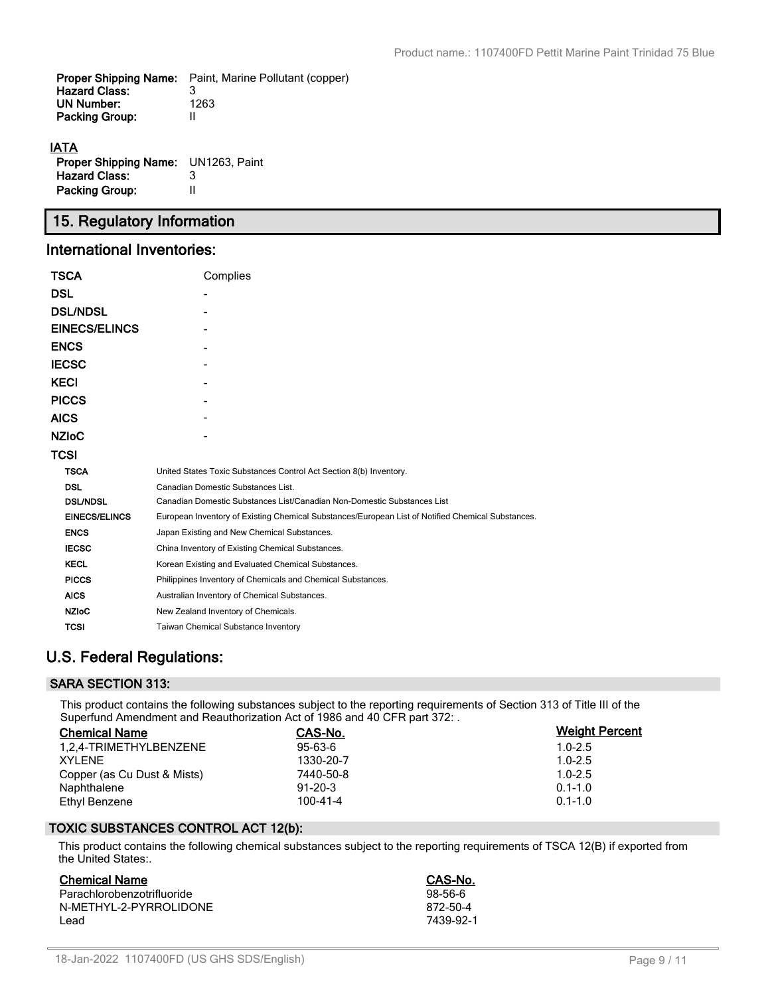| Proper Shipping Name: | Paint, Marine Pollutant (copper) |
|-----------------------|----------------------------------|
| <b>Hazard Class:</b>  |                                  |
| UN Number:            | 1263                             |
| <b>Packing Group:</b> |                                  |
| <b>IATA</b>           |                                  |

| <b>Proper Shipping Name:</b> UN1263, Paint |   |
|--------------------------------------------|---|
| <b>Hazard Class:</b>                       | 3 |
| Packing Group:                             | Ш |

# **15. Regulatory Information**

# **International Inventories:**

| TSCA                 | Complies                                                                                          |
|----------------------|---------------------------------------------------------------------------------------------------|
| DSL                  |                                                                                                   |
| <b>DSL/NDSL</b>      |                                                                                                   |
| <b>EINECS/ELINCS</b> |                                                                                                   |
| <b>ENCS</b>          |                                                                                                   |
| <b>IECSC</b>         |                                                                                                   |
| KECI                 |                                                                                                   |
| <b>PICCS</b>         |                                                                                                   |
| AICS                 |                                                                                                   |
| <b>NZIoC</b>         |                                                                                                   |
| TCSI                 |                                                                                                   |
| <b>TSCA</b>          | United States Toxic Substances Control Act Section 8(b) Inventory.                                |
| <b>DSL</b>           | Canadian Domestic Substances List.                                                                |
| <b>DSL/NDSL</b>      | Canadian Domestic Substances List/Canadian Non-Domestic Substances List                           |
| <b>EINECS/ELINCS</b> | European Inventory of Existing Chemical Substances/European List of Notified Chemical Substances. |
| <b>ENCS</b>          | Japan Existing and New Chemical Substances.                                                       |
| <b>IECSC</b>         | China Inventory of Existing Chemical Substances.                                                  |
| <b>KECL</b>          | Korean Existing and Evaluated Chemical Substances.                                                |
| <b>PICCS</b>         | Philippines Inventory of Chemicals and Chemical Substances.                                       |
| <b>AICS</b>          | Australian Inventory of Chemical Substances.                                                      |
| <b>NZIoC</b>         | New Zealand Inventory of Chemicals.                                                               |
| TCSI                 | <b>Taiwan Chemical Substance Inventory</b>                                                        |

# **U.S. Federal Regulations:**

# **SARA SECTION 313:**

This product contains the following substances subject to the reporting requirements of Section 313 of Title III of the Superfund Amendment and Reauthorization Act of 1986 and 40 CFR part 372: .

| <b>Chemical Name</b>        | CAS-No.        | <b>Weight Percent</b> |
|-----------------------------|----------------|-----------------------|
| 1.2.4-TRIMETHYLBENZENE      | $95 - 63 - 6$  | $1.0 - 2.5$           |
| <b>XYLENE</b>               | 1330-20-7      | $1.0 - 2.5$           |
| Copper (as Cu Dust & Mists) | 7440-50-8      | $1.0 - 2.5$           |
| Naphthalene                 | $91-20-3$      | $0.1 - 1.0$           |
| Ethyl Benzene               | $100 - 41 - 4$ | $0.1 - 1.0$           |

## **TOXIC SUBSTANCES CONTROL ACT 12(b):**

This product contains the following chemical substances subject to the reporting requirements of TSCA 12(B) if exported from the United States:.

| <b>Chemical Name</b>       | CAS-No.   |
|----------------------------|-----------|
| Parachlorobenzotrifluoride | $98-56-6$ |
| N-METHYL-2-PYRROLIDONE     | 872-50-4  |
| l ead                      | 7439-92-1 |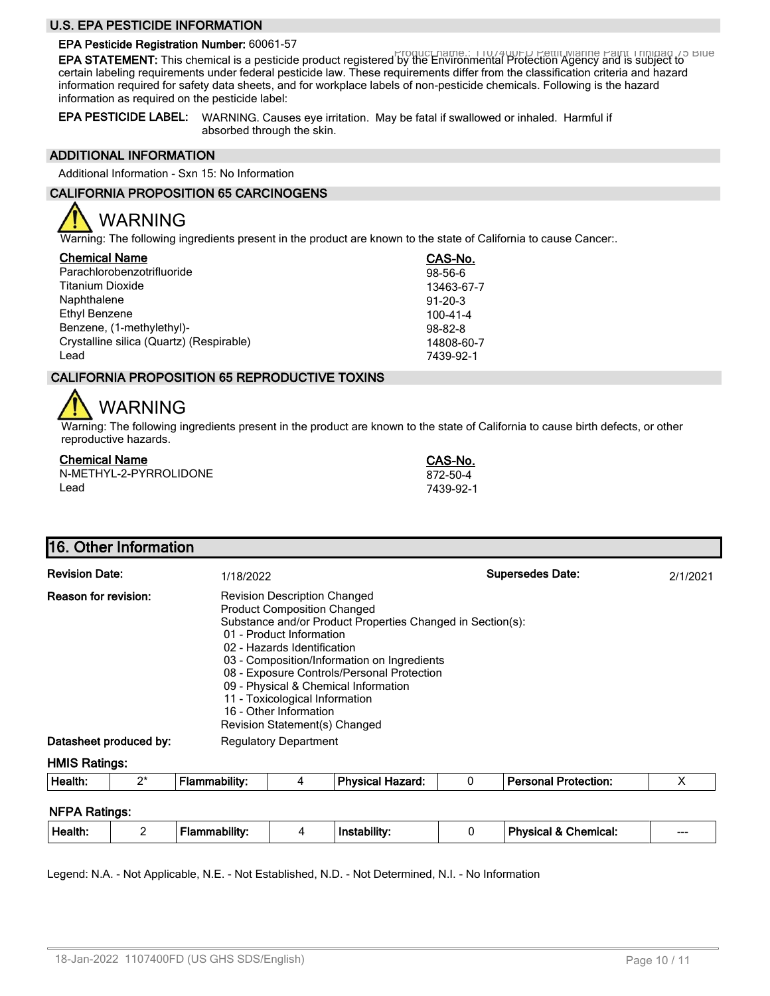### **U.S. EPA PESTICIDE INFORMATION**

# **EPA Pesticide Registration Number:** 60061-57

Product name.: 1107400FD Pettit Marine Paint Trinidad 75 Blue **EPA STATEMENT:** This chemical is a pesticide product registered by the Environmental Protection Agency and is subject to certain labeling requirements under federal pesticide law. These requirements differ from the classification criteria and hazard information required for safety data sheets, and for workplace labels of non-pesticide chemicals. Following is the hazard information as required on the pesticide label:

**EPA PESTICIDE LABEL:** WARNING. Causes eye irritation. May be fatal if swallowed or inhaled. Harmful if absorbed through the skin.

#### **ADDITIONAL INFORMATION**

Additional Information - Sxn 15: No Information

## **CALIFORNIA PROPOSITION 65 CARCINOGENS**

# WARNING

Warning: The following ingredients present in the product are known to the state of California to cause Cancer:.

| <b>Chemical Name</b>                     | CAS-No.       |
|------------------------------------------|---------------|
| Parachlorobenzotrifluoride               | 98-56-6       |
| <b>Titanium Dioxide</b>                  | 13463-67-7    |
| Naphthalene                              | $91 - 20 - 3$ |
| Ethyl Benzene                            | 100-41-4      |
| Benzene, (1-methylethyl)-                | $98 - 82 - 8$ |
| Crystalline silica (Quartz) (Respirable) | 14808-60-7    |
| Lead                                     | 7439-92-1     |

## **CALIFORNIA PROPOSITION 65 REPRODUCTIVE TOXINS**

# WARNING

Warning: The following ingredients present in the product are known to the state of California to cause birth defects, or other reproductive hazards.

#### **Chemical Name CAS-No.**

N-METHYL-2-PYRROLIDONE 872-50-4 Lead 7439-92-1

# **16. Other Information**

| <b>Revision Date:</b>  | 1/18/2022                                                                                                                                                                                                                                                                                                                                                                                                                            | <b>Supersedes Date:</b> | 2/1/2021 |
|------------------------|--------------------------------------------------------------------------------------------------------------------------------------------------------------------------------------------------------------------------------------------------------------------------------------------------------------------------------------------------------------------------------------------------------------------------------------|-------------------------|----------|
| Reason for revision:   | <b>Revision Description Changed</b><br><b>Product Composition Changed</b><br>Substance and/or Product Properties Changed in Section(s):<br>01 - Product Information<br>02 - Hazards Identification<br>03 - Composition/Information on Ingredients<br>08 - Exposure Controls/Personal Protection<br>09 - Physical & Chemical Information<br>11 - Toxicological Information<br>16 - Other Information<br>Revision Statement(s) Changed |                         |          |
| Datasheet produced by: | <b>Regulatory Department</b>                                                                                                                                                                                                                                                                                                                                                                                                         |                         |          |

#### **HMIS Ratings:**

| Health: | $\sim$<br>- | nmabilitv<br>ıa | <b>Physical Hazard:</b> | <b>Darconal</b><br>Protection: |  |
|---------|-------------|-----------------|-------------------------|--------------------------------|--|
|         |             |                 |                         |                                |  |

#### **NFPA Ratings:**

| <b>Physical</b><br>Health.<br>Chemical:<br><b>Instabilit</b><br>DIIItV:<br>$\sim$<br>---<br>- |
|-----------------------------------------------------------------------------------------------|
|-----------------------------------------------------------------------------------------------|

Legend: N.A. - Not Applicable, N.E. - Not Established, N.D. - Not Determined, N.I. - No Information